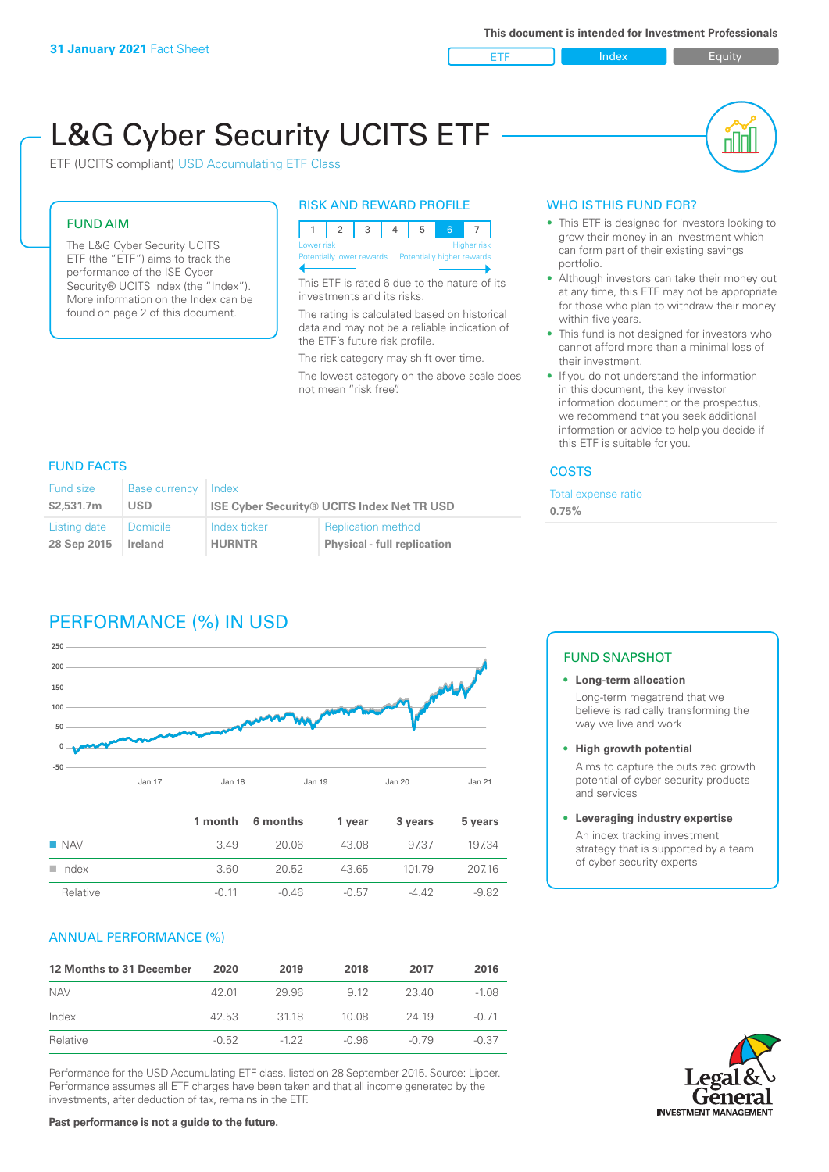

nN

# L&G Cyber Security UCITS ETF

ETF (UCITS compliant) USD Accumulating ETF Class

### FUND AIM

The L&G Cyber Security UCITS ETF (the "ETF") aims to track the performance of the ISE Cyber Security® UCITS Index (the "Index"). More information on the Index can be found on page 2 of this document.

### RISK AND REWARD PROFILE



This ETF is rated 6 due to the nature of its investments and its risks.

The rating is calculated based on historical data and may not be a reliable indication of the ETF's future risk profile.

The risk category may shift over time.

The lowest category on the above scale does not mean "risk free".

# WHO IS THIS FUND FOR?

- This ETF is designed for investors looking to grow their money in an investment which can form part of their existing savings portfolio.
- Although investors can take their money out at any time, this ETF may not be appropriate for those who plan to withdraw their money within five years.
- This fund is not designed for investors who cannot afford more than a minimal loss of their investment.
- If you do not understand the information in this document, the key investor information document or the prospectus, we recommend that you seek additional information or advice to help you decide if this ETF is suitable for you.

#### **COSTS**

Total expense ratio **0.75%**

### FUND FACTS

| <b>Fund size</b> | Base currency   | Index                                             |                                    |  |
|------------------|-----------------|---------------------------------------------------|------------------------------------|--|
| \$2.531.7m       | USD             | <b>ISE Cyber Security® UCITS Index Net TR USD</b> |                                    |  |
| Listing date     | <b>Domicile</b> | Index ticker                                      | <b>Replication method</b>          |  |
| 28 Sep 2015      | Ireland         | <b>HURNTR</b>                                     | <b>Physical - full replication</b> |  |

# PERFORMANCE (%) IN USD



|                      |         | 1 month 6 months | 1 year  | 3 years | 5 years |
|----------------------|---------|------------------|---------|---------|---------|
| $\blacksquare$ NAV   | 349     | 20.06            | 43.08   | 9737    | 19734   |
| $\blacksquare$ Index | 3.60    | 20.52            | 43.65   | 10179   | 207.16  |
| Relative             | $-0.11$ | -0.46            | $-0.57$ | -4 42   | $-982$  |

### ANNUAL PERFORMANCE (%)

| 12 Months to 31 December | 2020    | 2019   | 2018    | 2017  | 2016    |
|--------------------------|---------|--------|---------|-------|---------|
| <b>NAV</b>               | 42.01   | 29.96  | 9.12    | 23.40 | $-1.08$ |
| Index                    | 42.53   | 3118   | 10.08   | 24.19 | $-0.71$ |
| Relative                 | $-0.52$ | $-122$ | $-0.96$ | -0.79 | $-0.37$ |

Performance for the USD Accumulating ETF class, listed on 28 September 2015. Source: Lipper. Performance assumes all ETF charges have been taken and that all income generated by the investments, after deduction of tax, remains in the ETF.

#### FUND SNAPSHOT

#### **• Long-term allocation** Long-term megatrend that we believe is radically transforming the way we live and work

#### **• High growth potential**

Aims to capture the outsized growth potential of cyber security products and services

#### **• Leveraging industry expertise**

An index tracking investment strategy that is supported by a team of cyber security experts

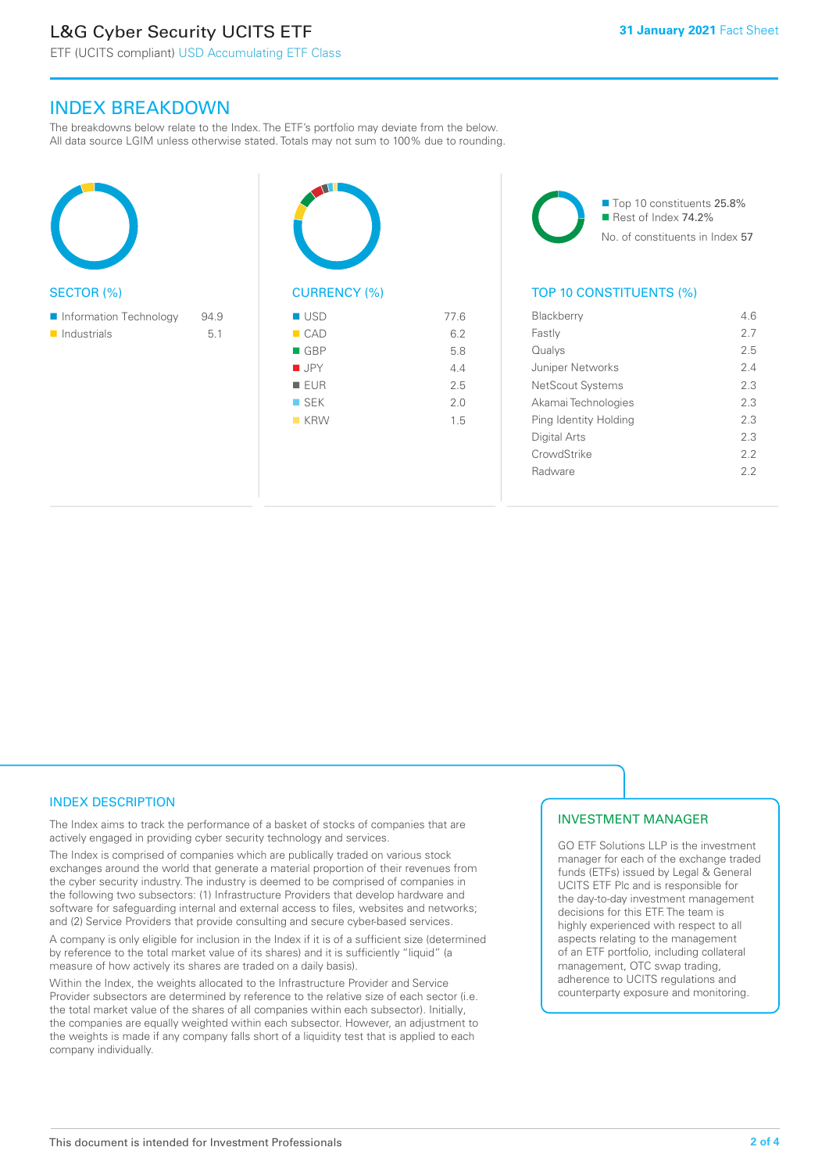# L&G Cyber Security UCITS ETF

# INDEX BREAKDOWN

The breakdowns below relate to the Index. The ETF's portfolio may deviate from the below. All data source LGIM unless otherwise stated. Totals may not sum to 100% due to rounding.

| <b>SECTOR (%)</b>          |      | <b>CURREN</b>      |
|----------------------------|------|--------------------|
| Information Technology     | 94.9 | <b>USD</b>         |
| $\blacksquare$ Industrials | 5.1  | $\blacksquare$ CAD |
|                            |      | <b>GBP</b>         |
|                            |      | <b>JPY</b>         |
|                            |      | <b>EUR</b><br>п    |
|                            |      | $\square$ SEK      |
|                            |      | $K$ KRW            |
|                            |      |                    |
|                            |      |                    |

| <b>CURRENCY (%)</b> |      |
|---------------------|------|
| <b>USD</b>          | 77.6 |
| $\blacksquare$ CAD  | 6.2  |
| $\blacksquare$ GBP  | 5.8  |
| $\blacksquare$ JPY  | 4.4  |
| <b>EUR</b>          | 2.5  |
| $\square$ SEK       | 2.0  |
| $K$ KRW             | 1.5  |
|                     |      |



# TOP 10 CONSTITUENTS (%)

| Blackberry            | 46  |
|-----------------------|-----|
| Fastly                | 2.7 |
| Qualys                | 2.5 |
| Juniper Networks      | 24  |
| NetScout Systems      | 2.3 |
| Akamai Technologies   | 2.3 |
| Ping Identity Holding | 2.3 |
| Digital Arts          | 23  |
| CrowdStrike           | 22  |
| Radware               | 22  |
|                       |     |

# INDEX DESCRIPTION

The Index aims to track the performance of a basket of stocks of companies that are actively engaged in providing cyber security technology and services.

The Index is comprised of companies which are publically traded on various stock exchanges around the world that generate a material proportion of their revenues from the cyber security industry. The industry is deemed to be comprised of companies in the following two subsectors: (1) Infrastructure Providers that develop hardware and software for safeguarding internal and external access to files, websites and networks; and (2) Service Providers that provide consulting and secure cyber-based services.

A company is only eligible for inclusion in the Index if it is of a sufficient size (determined by reference to the total market value of its shares) and it is sufficiently "liquid" (a measure of how actively its shares are traded on a daily basis).

Within the Index, the weights allocated to the Infrastructure Provider and Service Provider subsectors are determined by reference to the relative size of each sector (i.e. the total market value of the shares of all companies within each subsector). Initially, the companies are equally weighted within each subsector. However, an adjustment to the weights is made if any company falls short of a liquidity test that is applied to each company individually.

### INVESTMENT MANAGER

GO ETF Solutions LLP is the investment manager for each of the exchange traded funds (ETFs) issued by Legal & General UCITS ETF Plc and is responsible for the day-to-day investment management decisions for this ETF. The team is highly experienced with respect to all aspects relating to the management of an ETF portfolio, including collateral management, OTC swap trading, adherence to UCITS regulations and counterparty exposure and monitoring.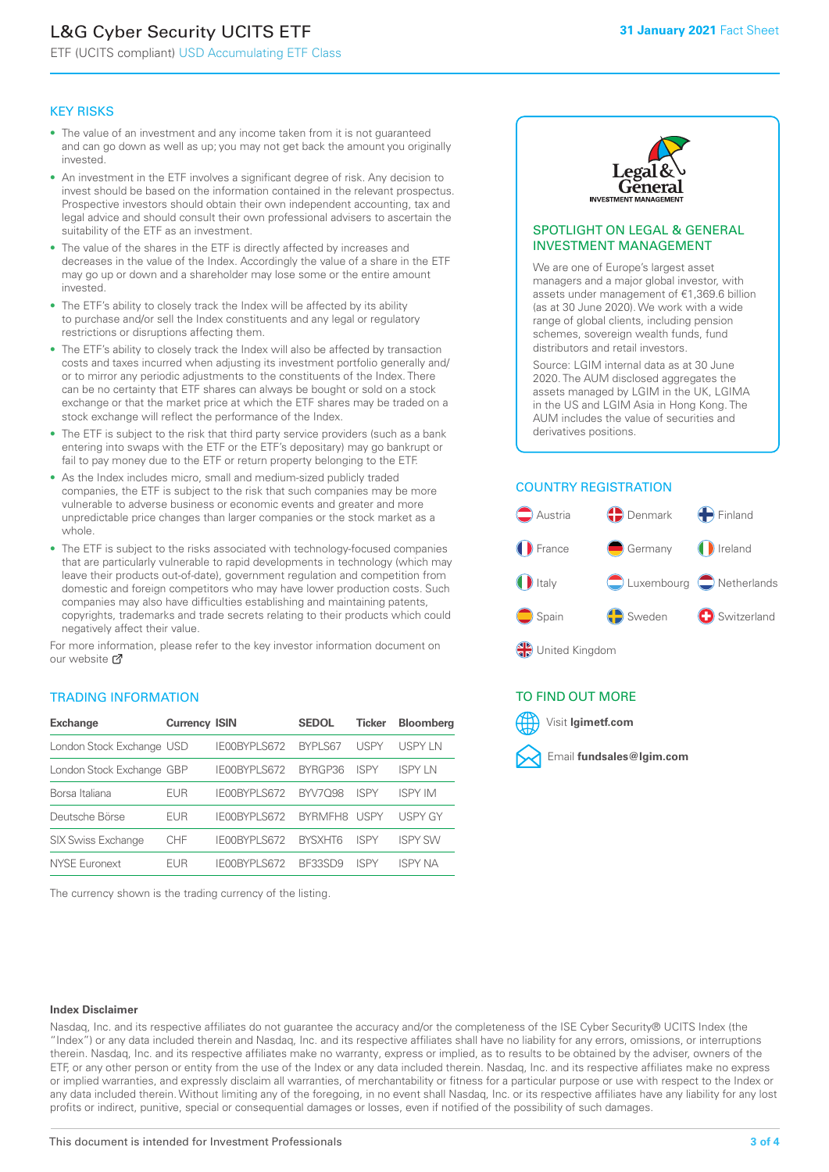# L&G Cyber Security UCITS ETF

ETF (UCITS compliant) USD Accumulating ETF Class

#### KEY RISKS

- The value of an investment and any income taken from it is not guaranteed and can go down as well as up; you may not get back the amount you originally invested.
- An investment in the ETF involves a significant degree of risk. Any decision to invest should be based on the information contained in the relevant prospectus. Prospective investors should obtain their own independent accounting, tax and legal advice and should consult their own professional advisers to ascertain the suitability of the ETF as an investment.
- The value of the shares in the ETF is directly affected by increases and decreases in the value of the Index. Accordingly the value of a share in the ETF may go up or down and a shareholder may lose some or the entire amount invested.
- The ETF's ability to closely track the Index will be affected by its ability to purchase and/or sell the Index constituents and any legal or regulatory restrictions or disruptions affecting them.
- The ETF's ability to closely track the Index will also be affected by transaction costs and taxes incurred when adjusting its investment portfolio generally and/ or to mirror any periodic adjustments to the constituents of the Index. There can be no certainty that ETF shares can always be bought or sold on a stock exchange or that the market price at which the ETF shares may be traded on a stock exchange will reflect the performance of the Index.
- The ETF is subject to the risk that third party service providers (such as a bank entering into swaps with the ETF or the ETF's depositary) may go bankrupt or fail to pay money due to the ETF or return property belonging to the ETF.
- As the Index includes micro, small and medium-sized publicly traded companies, the ETF is subject to the risk that such companies may be more vulnerable to adverse business or economic events and greater and more unpredictable price changes than larger companies or the stock market as a whole.
- The ETF is subject to the risks associated with technology-focused companies that are particularly vulnerable to rapid developments in technology (which may leave their products out-of-date), government regulation and competition from domestic and foreign competitors who may have lower production costs. Such companies may also have difficulties establishing and maintaining patents, copyrights, trademarks and trade secrets relating to their products which could negatively affect their value.

For more in[form](https://www.lgimetf.com/)ation, please refer to the key investor information document on our website Ø

#### TRADING INFORMATION

| <b>Exchange</b>           | <b>Currency ISIN</b> |              | <b>SEDOL</b>   | <b>Ticker</b> | <b>Bloomberg</b> |
|---------------------------|----------------------|--------------|----------------|---------------|------------------|
| London Stock Exchange USD |                      | IE00BYPLS672 | <b>BYPLS67</b> | <b>USPY</b>   | USPY IN          |
| London Stock Exchange GBP |                      | IE00BYPLS672 | BYRGP36        | <b>ISPY</b>   | <b>ISPY LN</b>   |
| Borsa Italiana            | EUR                  | IE00BYPLS672 | <b>BYV7098</b> | <b>ISPY</b>   | <b>ISPY IM</b>   |
| Deutsche Börse            | <b>EUR</b>           | IE00BYPLS672 | <b>RYRMFH8</b> | <b>USPY</b>   | <b>USPY GY</b>   |
| <b>SIX Swiss Exchange</b> | CHF                  | IE00BYPLS672 | <b>RYSXHT6</b> | <b>ISPY</b>   | <b>ISPY SW</b>   |
| <b>NYSE Euronext</b>      | FUR                  | IF00BYPLS672 | <b>BE33SD9</b> | <b>ISPY</b>   | <b>ISPY NA</b>   |

The currency shown is the trading currency of the listing.



#### SPOTLIGHT ON LEGAL & GENERAL INVESTMENT MANAGEMENT

We are one of Europe's largest asset managers and a major global investor, with assets under management of €1,369.6 billion (as at 30 June 2020). We work with a wide range of global clients, including pension schemes, sovereign wealth funds, fund distributors and retail investors.

Source: LGIM internal data as at 30 June 2020. The AUM disclosed aggregates the assets managed by LGIM in the UK, LGIMA in the US and LGIM Asia in Hong Kong. The AUM includes the value of securities and derivatives positions.

#### COUNTRY REGISTRATION



### TO FIND OUT MORE



#### **Index Disclaimer**

Nasdaq, Inc. and its respective affiliates do not guarantee the accuracy and/or the completeness of the ISE Cyber Security® UCITS Index (the "Index") or any data included therein and Nasdaq, Inc. and its respective affiliates shall have no liability for any errors, omissions, or interruptions therein. Nasdaq, Inc. and its respective affiliates make no warranty, express or implied, as to results to be obtained by the adviser, owners of the ETF, or any other person or entity from the use of the Index or any data included therein. Nasdaq, Inc. and its respective affiliates make no express or implied warranties, and expressly disclaim all warranties, of merchantability or fitness for a particular purpose or use with respect to the Index or any data included therein. Without limiting any of the foregoing, in no event shall Nasdaq, Inc. or its respective affiliates have any liability for any lost profits or indirect, punitive, special or consequential damages or losses, even if notified of the possibility of such damages.